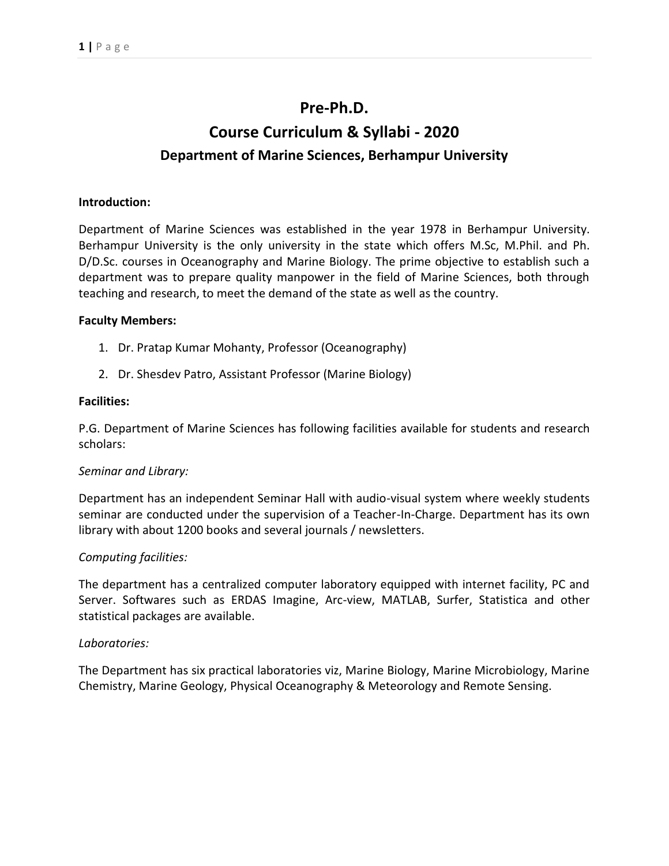## **Pre-Ph.D.**

# **Course Curriculum & Syllabi - 2020 Department of Marine Sciences, Berhampur University**

## **Introduction:**

Department of Marine Sciences was established in the year 1978 in Berhampur University. Berhampur University is the only university in the state which offers M.Sc, M.Phil. and Ph. D/D.Sc. courses in Oceanography and Marine Biology. The prime objective to establish such a department was to prepare quality manpower in the field of Marine Sciences, both through teaching and research, to meet the demand of the state as well as the country.

## **Faculty Members:**

- 1. Dr. Pratap Kumar Mohanty, Professor (Oceanography)
- 2. Dr. Shesdev Patro, Assistant Professor (Marine Biology)

## **Facilities:**

P.G. Department of Marine Sciences has following facilities available for students and research scholars:

## *Seminar and Library:*

Department has an independent Seminar Hall with audio-visual system where weekly students seminar are conducted under the supervision of a Teacher-In-Charge. Department has its own library with about 1200 books and several journals / newsletters.

## *Computing facilities:*

The department has a centralized computer laboratory equipped with internet facility, PC and Server. Softwares such as ERDAS Imagine, Arc-view, MATLAB, Surfer, Statistica and other statistical packages are available.

## *Laboratories:*

The Department has six practical laboratories viz, Marine Biology, Marine Microbiology, Marine Chemistry, Marine Geology, Physical Oceanography & Meteorology and Remote Sensing.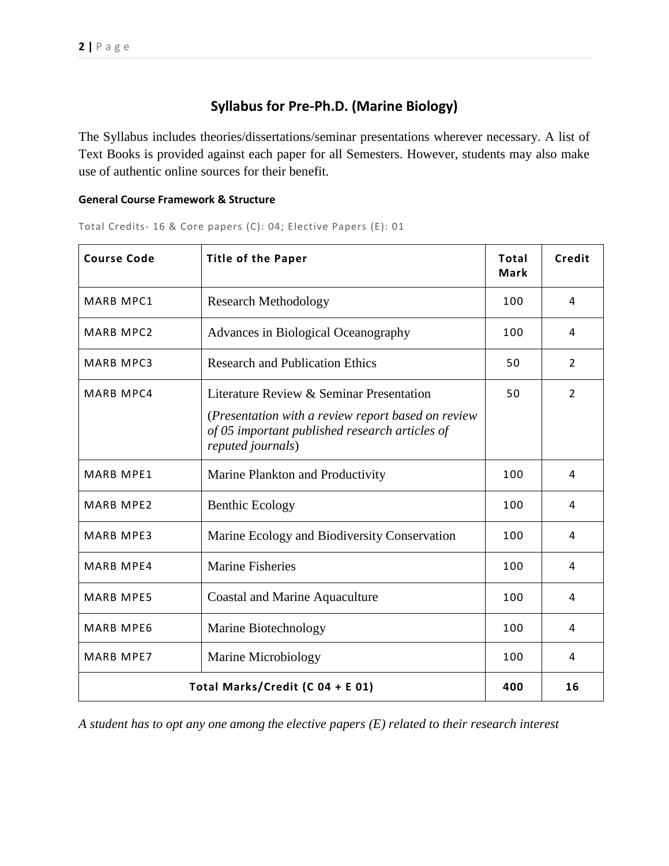## **Syllabus for Pre-Ph.D. (Marine Biology)**

The Syllabus includes theories/dissertations/seminar presentations wherever necessary. A list of Text Books is provided against each paper for all Semesters. However, students may also make use of authentic online sources for their benefit.

## **General Course Framework & Structure**

Total Credits- 16 & Core papers (C): 04; Elective Papers (E): 01

| <b>Course Code</b>               | <b>Title of the Paper</b>                                                                                                 | <b>Total</b><br><b>Mark</b> | Credit |
|----------------------------------|---------------------------------------------------------------------------------------------------------------------------|-----------------------------|--------|
| <b>MARB MPC1</b>                 | <b>Research Methodology</b>                                                                                               | 100                         | 4      |
| <b>MARB MPC2</b>                 | Advances in Biological Oceanography                                                                                       | 100                         | 4      |
| MARB MPC3                        | <b>Research and Publication Ethics</b>                                                                                    | 50                          | 2      |
| MARB MPC4                        | Literature Review & Seminar Presentation                                                                                  | 50                          | 2      |
|                                  | (Presentation with a review report based on review<br>of 05 important published research articles of<br>reputed journals) |                             |        |
| <b>MARB MPE1</b>                 | Marine Plankton and Productivity                                                                                          | 100                         | 4      |
| <b>MARB MPE2</b>                 | <b>Benthic Ecology</b>                                                                                                    | 100                         | 4      |
| <b>MARB MPE3</b>                 | Marine Ecology and Biodiversity Conservation                                                                              | 100                         | 4      |
| <b>MARB MPE4</b>                 | <b>Marine Fisheries</b>                                                                                                   | 100                         | 4      |
| <b>MARB MPE5</b>                 | <b>Coastal and Marine Aquaculture</b>                                                                                     | 100                         | 4      |
| <b>MARB MPE6</b>                 | Marine Biotechnology                                                                                                      | 100                         | 4      |
| <b>MARB MPE7</b>                 | Marine Microbiology                                                                                                       | 100                         | 4      |
| Total Marks/Credit (C 04 + E 01) |                                                                                                                           |                             | 16     |

*A student has to opt any one among the elective papers (E) related to their research interest*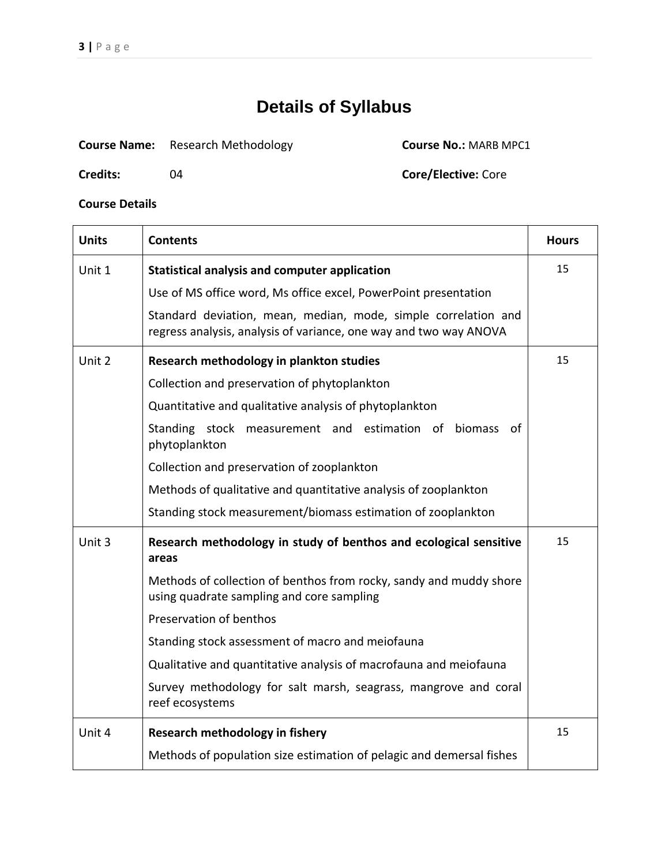**Credits:** 04 **Core/Elective:** Core

| <b>Course Name:</b> | <b>Research Methodology</b> |
|---------------------|-----------------------------|
|---------------------|-----------------------------|

**Course No.: MARB MPC1** 

| <b>Units</b> | <b>Contents</b>                                                                                                                     | <b>Hours</b> |
|--------------|-------------------------------------------------------------------------------------------------------------------------------------|--------------|
| Unit 1       | <b>Statistical analysis and computer application</b>                                                                                | 15           |
|              | Use of MS office word, Ms office excel, PowerPoint presentation                                                                     |              |
|              | Standard deviation, mean, median, mode, simple correlation and<br>regress analysis, analysis of variance, one way and two way ANOVA |              |
| Unit 2       | Research methodology in plankton studies                                                                                            | 15           |
|              | Collection and preservation of phytoplankton                                                                                        |              |
|              | Quantitative and qualitative analysis of phytoplankton                                                                              |              |
|              | Standing stock measurement and estimation of biomass<br>0t<br>phytoplankton                                                         |              |
|              | Collection and preservation of zooplankton                                                                                          |              |
|              | Methods of qualitative and quantitative analysis of zooplankton                                                                     |              |
|              | Standing stock measurement/biomass estimation of zooplankton                                                                        |              |
| Unit 3       | Research methodology in study of benthos and ecological sensitive<br>areas                                                          | 15           |
|              | Methods of collection of benthos from rocky, sandy and muddy shore<br>using quadrate sampling and core sampling                     |              |
|              | Preservation of benthos                                                                                                             |              |
|              | Standing stock assessment of macro and meiofauna                                                                                    |              |
|              | Qualitative and quantitative analysis of macrofauna and meiofauna                                                                   |              |
|              | Survey methodology for salt marsh, seagrass, mangrove and coral<br>reef ecosystems                                                  |              |
| Unit 4       | Research methodology in fishery                                                                                                     | 15           |
|              | Methods of population size estimation of pelagic and demersal fishes                                                                |              |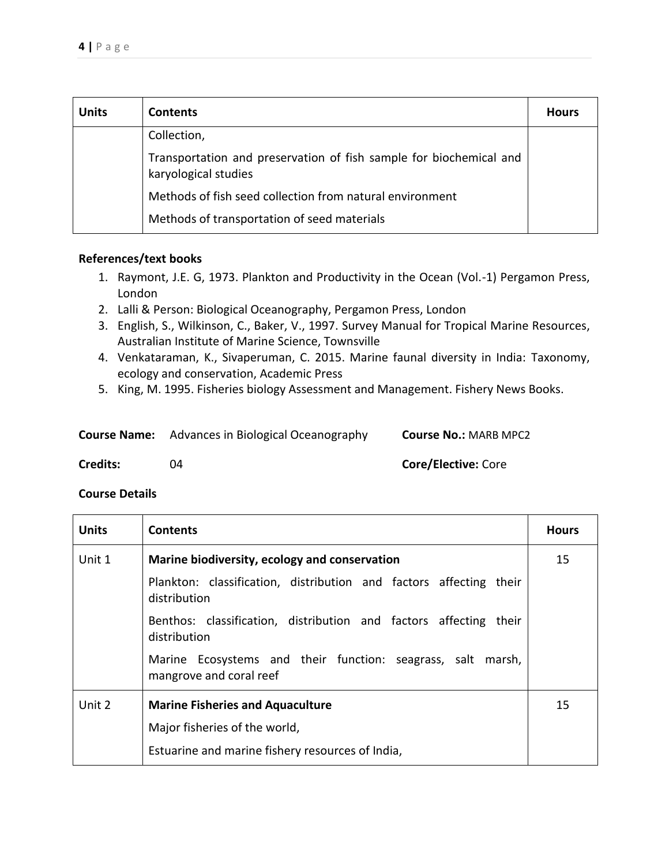| <b>Units</b> | <b>Contents</b>                                                                            | <b>Hours</b> |
|--------------|--------------------------------------------------------------------------------------------|--------------|
|              | Collection,                                                                                |              |
|              | Transportation and preservation of fish sample for biochemical and<br>karyological studies |              |
|              | Methods of fish seed collection from natural environment                                   |              |
|              | Methods of transportation of seed materials                                                |              |

- 1. Raymont, J.E. G, 1973. Plankton and Productivity in the Ocean (Vol.-1) Pergamon Press, London
- 2. Lalli & Person: Biological Oceanography, Pergamon Press, London
- 3. English, S., Wilkinson, C., Baker, V., 1997. Survey Manual for Tropical Marine Resources, Australian Institute of Marine Science, Townsville
- 4. Venkataraman, K., Sivaperuman, C. 2015. Marine faunal diversity in India: Taxonomy, ecology and conservation, Academic Press
- 5. King, M. 1995. Fisheries biology Assessment and Management. Fishery News Books.

| <b>Course Name:</b> Advances in Biological Oceanography | <b>Course No.: MARB MPC2</b> |
|---------------------------------------------------------|------------------------------|
|                                                         |                              |

**Credits:** 04 **Core/Elective:** Core

| <b>Units</b> | <b>Contents</b>                                                                        | <b>Hours</b> |
|--------------|----------------------------------------------------------------------------------------|--------------|
| Unit 1       | Marine biodiversity, ecology and conservation                                          | 15           |
|              | Plankton: classification, distribution and factors affecting their<br>distribution     |              |
|              | Benthos: classification, distribution and factors affecting<br>their<br>distribution   |              |
|              | Marine Ecosystems and their function: seagrass, salt marsh,<br>mangrove and coral reef |              |
| Unit 2       | <b>Marine Fisheries and Aquaculture</b>                                                | 15           |
|              | Major fisheries of the world,                                                          |              |
|              | Estuarine and marine fishery resources of India,                                       |              |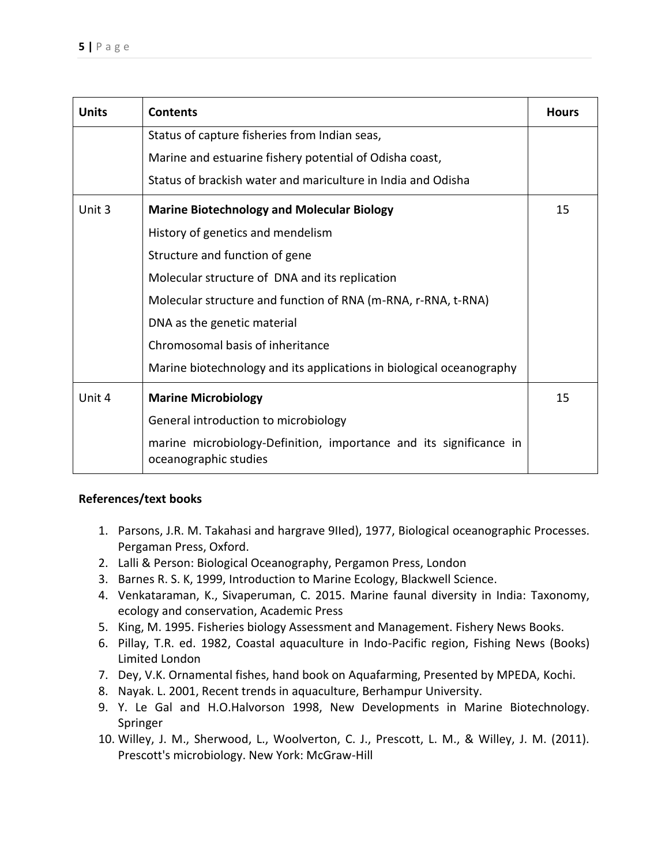| <b>Units</b> | <b>Contents</b>                                                                             | <b>Hours</b> |
|--------------|---------------------------------------------------------------------------------------------|--------------|
|              | Status of capture fisheries from Indian seas,                                               |              |
|              | Marine and estuarine fishery potential of Odisha coast,                                     |              |
|              | Status of brackish water and mariculture in India and Odisha                                |              |
| Unit 3       | <b>Marine Biotechnology and Molecular Biology</b>                                           | 15           |
|              | History of genetics and mendelism                                                           |              |
|              | Structure and function of gene                                                              |              |
|              | Molecular structure of DNA and its replication                                              |              |
|              | Molecular structure and function of RNA (m-RNA, r-RNA, t-RNA)                               |              |
|              | DNA as the genetic material                                                                 |              |
|              | Chromosomal basis of inheritance                                                            |              |
|              | Marine biotechnology and its applications in biological oceanography                        |              |
| Unit 4       | <b>Marine Microbiology</b>                                                                  | 15           |
|              | General introduction to microbiology                                                        |              |
|              | marine microbiology-Definition, importance and its significance in<br>oceanographic studies |              |

- 1. Parsons, J.R. M. Takahasi and hargrave 9IIed), 1977, Biological oceanographic Processes. Pergaman Press, Oxford.
- 2. Lalli & Person: Biological Oceanography, Pergamon Press, London
- 3. Barnes R. S. K, 1999, Introduction to Marine Ecology, Blackwell Science.
- 4. Venkataraman, K., Sivaperuman, C. 2015. Marine faunal diversity in India: Taxonomy, ecology and conservation, Academic Press
- 5. King, M. 1995. Fisheries biology Assessment and Management. Fishery News Books.
- 6. Pillay, T.R. ed. 1982, Coastal aquaculture in Indo-Pacific region, Fishing News (Books) Limited London
- 7. Dey, V.K. Ornamental fishes, hand book on Aquafarming, Presented by MPEDA, Kochi.
- 8. Nayak. L. 2001, Recent trends in aquaculture, Berhampur University.
- 9. Y. Le Gal and H.O.Halvorson 1998, New Developments in Marine Biotechnology. Springer
- 10. Willey, J. M., Sherwood, L., Woolverton, C. J., Prescott, L. M., & Willey, J. M. (2011). Prescott's microbiology. New York: McGraw-Hill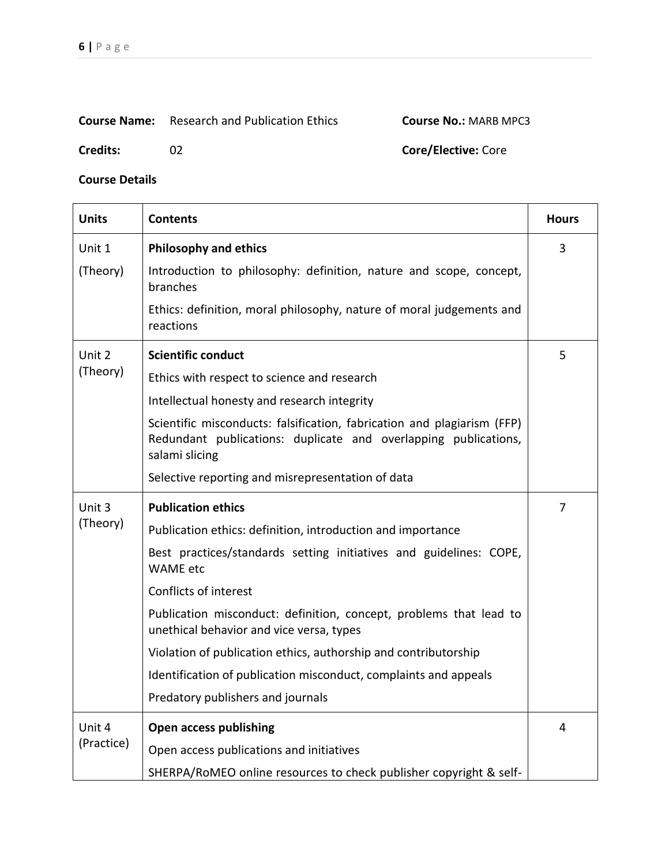## **Course Name:** Research and Publication Ethics **Course No.:** MARB MPC3

**Credits:** 02 **Core/Elective:** Core

| <b>Units</b> | <b>Contents</b>                                                                                                                                              | <b>Hours</b> |
|--------------|--------------------------------------------------------------------------------------------------------------------------------------------------------------|--------------|
| Unit 1       | <b>Philosophy and ethics</b>                                                                                                                                 | 3            |
| (Theory)     | Introduction to philosophy: definition, nature and scope, concept,<br>branches                                                                               |              |
|              | Ethics: definition, moral philosophy, nature of moral judgements and<br>reactions                                                                            |              |
| Unit 2       | <b>Scientific conduct</b>                                                                                                                                    | 5            |
| (Theory)     | Ethics with respect to science and research                                                                                                                  |              |
|              | Intellectual honesty and research integrity                                                                                                                  |              |
|              | Scientific misconducts: falsification, fabrication and plagiarism (FFP)<br>Redundant publications: duplicate and overlapping publications,<br>salami slicing |              |
|              | Selective reporting and misrepresentation of data                                                                                                            |              |
| Unit 3       | <b>Publication ethics</b>                                                                                                                                    | 7            |
| (Theory)     | Publication ethics: definition, introduction and importance                                                                                                  |              |
|              | Best practices/standards setting initiatives and guidelines: COPE,<br><b>WAME</b> etc                                                                        |              |
|              | Conflicts of interest                                                                                                                                        |              |
|              | Publication misconduct: definition, concept, problems that lead to<br>unethical behavior and vice versa, types                                               |              |
|              | Violation of publication ethics, authorship and contributorship                                                                                              |              |
|              | Identification of publication misconduct, complaints and appeals                                                                                             |              |
|              | Predatory publishers and journals                                                                                                                            |              |
| Unit 4       | <b>Open access publishing</b>                                                                                                                                | 4            |
| (Practice)   | Open access publications and initiatives                                                                                                                     |              |
|              | SHERPA/RoMEO online resources to check publisher copyright & self-                                                                                           |              |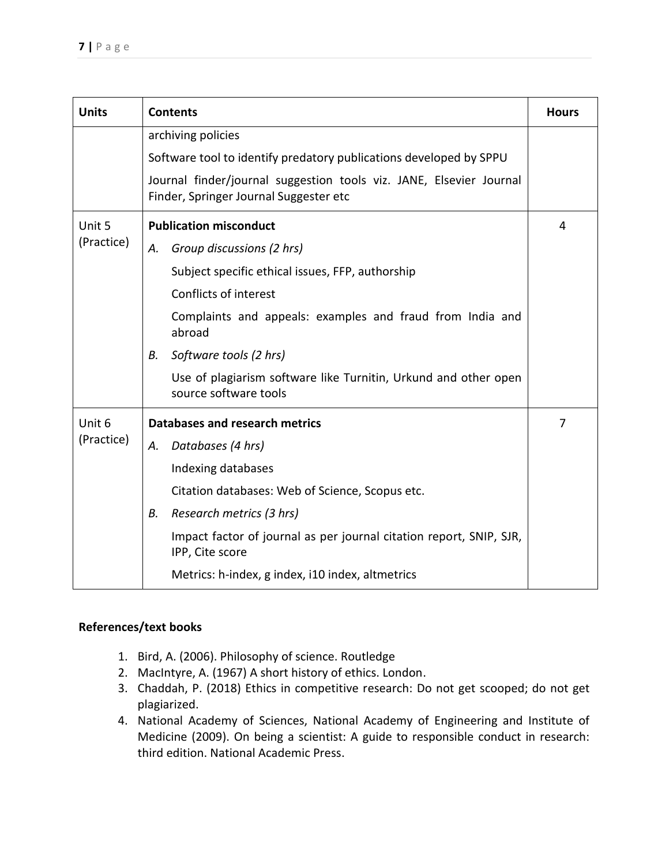| <b>Units</b> | <b>Contents</b>                                                                                               | <b>Hours</b> |  |
|--------------|---------------------------------------------------------------------------------------------------------------|--------------|--|
|              | archiving policies                                                                                            |              |  |
|              | Software tool to identify predatory publications developed by SPPU                                            |              |  |
|              | Journal finder/journal suggestion tools viz. JANE, Elsevier Journal<br>Finder, Springer Journal Suggester etc |              |  |
| Unit 5       | <b>Publication misconduct</b>                                                                                 |              |  |
| (Practice)   | Group discussions (2 hrs)<br>А.                                                                               |              |  |
|              | Subject specific ethical issues, FFP, authorship                                                              |              |  |
|              | Conflicts of interest                                                                                         |              |  |
|              | Complaints and appeals: examples and fraud from India and<br>abroad                                           |              |  |
|              | Software tools (2 hrs)<br>В.                                                                                  |              |  |
|              | Use of plagiarism software like Turnitin, Urkund and other open<br>source software tools                      |              |  |
| Unit 6       | Databases and research metrics                                                                                |              |  |
| (Practice)   | Databases (4 hrs)<br>А.                                                                                       |              |  |
|              | Indexing databases                                                                                            |              |  |
|              | Citation databases: Web of Science, Scopus etc.                                                               |              |  |
|              | Research metrics (3 hrs)<br>В.                                                                                |              |  |
|              | Impact factor of journal as per journal citation report, SNIP, SJR,<br>IPP, Cite score                        |              |  |
|              | Metrics: h-index, g index, i10 index, altmetrics                                                              |              |  |

- 1. Bird, A. (2006). Philosophy of science. Routledge
- 2. MacIntyre, A. (1967) A short history of ethics. London.
- 3. Chaddah, P. (2018) Ethics in competitive research: Do not get scooped; do not get plagiarized.
- 4. National Academy of Sciences, National Academy of Engineering and Institute of Medicine (2009). On being a scientist: A guide to responsible conduct in research: third edition. National Academic Press.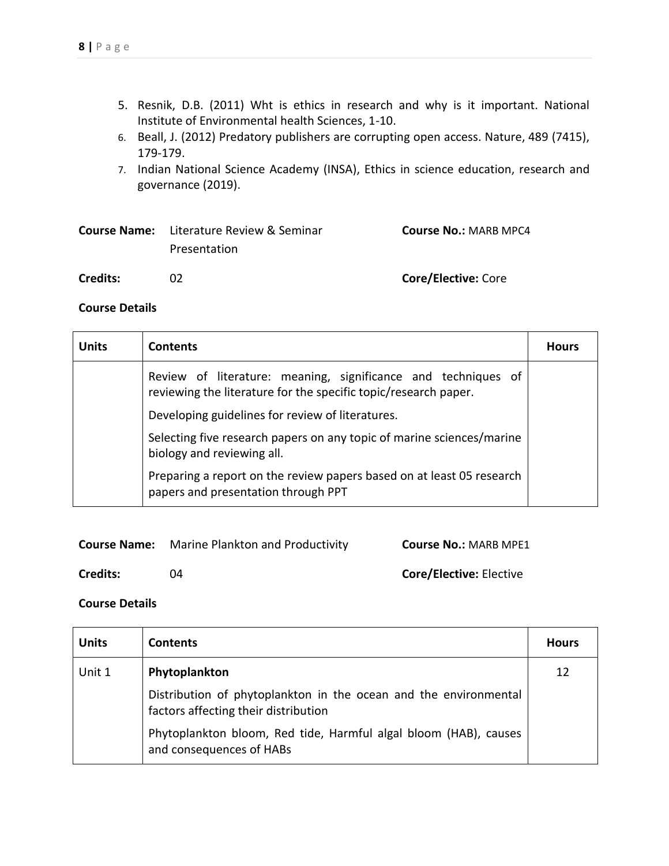- 5. Resnik, D.B. (2011) Wht is ethics in research and why is it important. National Institute of Environmental health Sciences, 1-10.
- 6. Beall, J. (2012) Predatory publishers are corrupting open access. Nature, 489 (7415), 179-179.
- 7. Indian National Science Academy (INSA), Ethics in science education, research and governance (2019).

|          | <b>Course Name:</b> Literature Review & Seminar | <b>Course No.: MARB MPC4</b> |
|----------|-------------------------------------------------|------------------------------|
|          | Presentation                                    |                              |
| Credits: | 02                                              | <b>Core/Elective: Core</b>   |

## **Course Details**

| <b>Units</b> | <b>Contents</b>                                                                                                                  | <b>Hours</b> |
|--------------|----------------------------------------------------------------------------------------------------------------------------------|--------------|
|              | Review of literature: meaning, significance and techniques of<br>reviewing the literature for the specific topic/research paper. |              |
|              | Developing guidelines for review of literatures.                                                                                 |              |
|              | Selecting five research papers on any topic of marine sciences/marine<br>biology and reviewing all.                              |              |
|              | Preparing a report on the review papers based on at least 05 research<br>papers and presentation through PPT                     |              |

| <b>Course Name:</b> | Marine Plankton and Productivity | <b>Course No.: MARB MPE1</b>   |
|---------------------|----------------------------------|--------------------------------|
| Credits:            | ባ4                               | <b>Core/Elective: Elective</b> |

| <b>Units</b> | <b>Contents</b>                                                                                          | <b>Hours</b> |
|--------------|----------------------------------------------------------------------------------------------------------|--------------|
| Unit 1       | Phytoplankton                                                                                            | 12           |
|              | Distribution of phytoplankton in the ocean and the environmental<br>factors affecting their distribution |              |
|              | Phytoplankton bloom, Red tide, Harmful algal bloom (HAB), causes<br>and consequences of HABs             |              |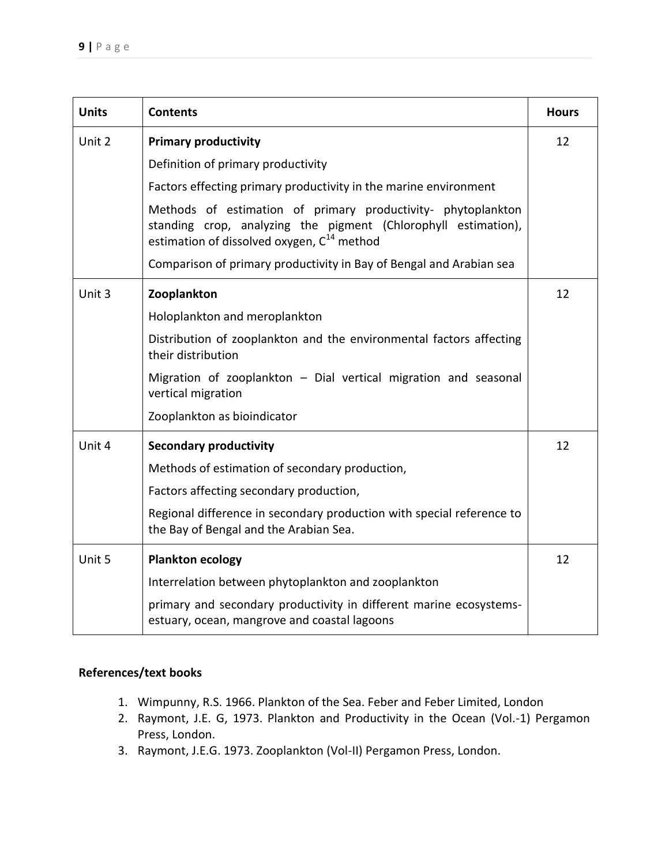| <b>Units</b> | <b>Contents</b>                                                                                                                                                                          | <b>Hours</b> |
|--------------|------------------------------------------------------------------------------------------------------------------------------------------------------------------------------------------|--------------|
| Unit 2       | <b>Primary productivity</b>                                                                                                                                                              | 12           |
|              | Definition of primary productivity                                                                                                                                                       |              |
|              | Factors effecting primary productivity in the marine environment                                                                                                                         |              |
|              | Methods of estimation of primary productivity- phytoplankton<br>standing crop, analyzing the pigment (Chlorophyll estimation),<br>estimation of dissolved oxygen, C <sup>14</sup> method |              |
|              | Comparison of primary productivity in Bay of Bengal and Arabian sea                                                                                                                      |              |
| Unit 3       | Zooplankton                                                                                                                                                                              | 12           |
|              | Holoplankton and meroplankton                                                                                                                                                            |              |
|              | Distribution of zooplankton and the environmental factors affecting<br>their distribution                                                                                                |              |
|              | Migration of zooplankton $-$ Dial vertical migration and seasonal<br>vertical migration                                                                                                  |              |
|              | Zooplankton as bioindicator                                                                                                                                                              |              |
| Unit 4       | <b>Secondary productivity</b>                                                                                                                                                            | 12           |
|              | Methods of estimation of secondary production,                                                                                                                                           |              |
|              | Factors affecting secondary production,                                                                                                                                                  |              |
|              | Regional difference in secondary production with special reference to<br>the Bay of Bengal and the Arabian Sea.                                                                          |              |
| Unit 5       | <b>Plankton ecology</b>                                                                                                                                                                  | 12           |
|              | Interrelation between phytoplankton and zooplankton                                                                                                                                      |              |
|              | primary and secondary productivity in different marine ecosystems-<br>estuary, ocean, mangrove and coastal lagoons                                                                       |              |

- 1. Wimpunny, R.S. 1966. Plankton of the Sea. Feber and Feber Limited, London
- 2. Raymont, J.E. G, 1973. Plankton and Productivity in the Ocean (Vol.-1) Pergamon Press, London.
- 3. Raymont, J.E.G. 1973. Zooplankton (Vol-II) Pergamon Press, London.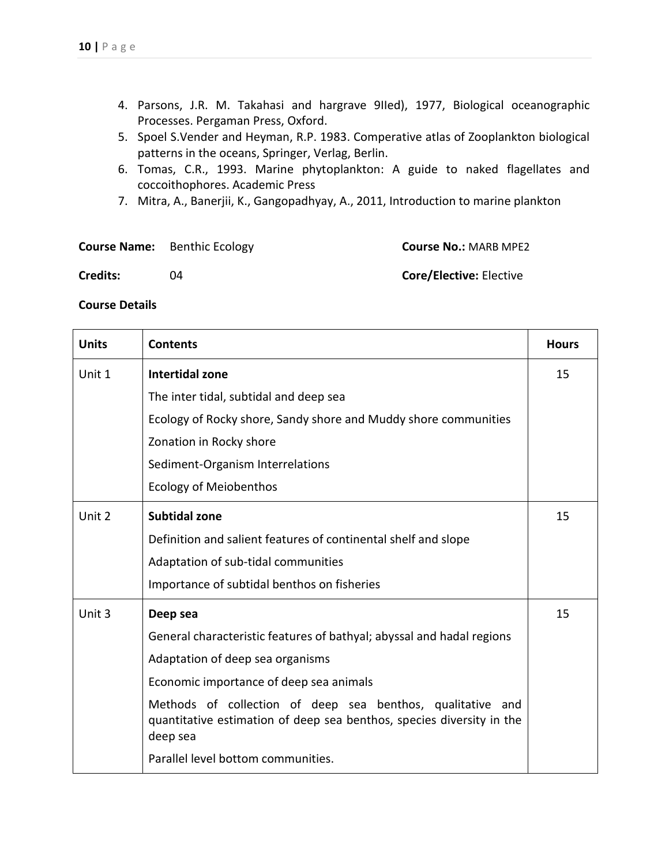- 4. Parsons, J.R. M. Takahasi and hargrave 9IIed), 1977, Biological oceanographic Processes. Pergaman Press, Oxford.
- 5. Spoel S.Vender and Heyman, R.P. 1983. Comperative atlas of Zooplankton biological patterns in the oceans, Springer, Verlag, Berlin.
- 6. Tomas, C.R., 1993. Marine phytoplankton: A guide to naked flagellates and coccoithophores. Academic Press
- 7. Mitra, A., Banerjii, K., Gangopadhyay, A., 2011, Introduction to marine plankton

|                 | <b>Course Name:</b> Benthic Ecology | <b>Course No.: MARB MPE2</b>   |
|-----------------|-------------------------------------|--------------------------------|
| <b>Credits:</b> | ባ4                                  | <b>Core/Elective: Elective</b> |

| <b>Units</b> | <b>Contents</b>                                                                                                                                 | <b>Hours</b> |
|--------------|-------------------------------------------------------------------------------------------------------------------------------------------------|--------------|
| Unit 1       | <b>Intertidal zone</b>                                                                                                                          | 15           |
|              | The inter tidal, subtidal and deep sea                                                                                                          |              |
|              | Ecology of Rocky shore, Sandy shore and Muddy shore communities                                                                                 |              |
|              | Zonation in Rocky shore                                                                                                                         |              |
|              | Sediment-Organism Interrelations                                                                                                                |              |
|              | <b>Ecology of Meiobenthos</b>                                                                                                                   |              |
| Unit 2       | <b>Subtidal zone</b>                                                                                                                            | 15           |
|              | Definition and salient features of continental shelf and slope                                                                                  |              |
|              | Adaptation of sub-tidal communities                                                                                                             |              |
|              | Importance of subtidal benthos on fisheries                                                                                                     |              |
| Unit 3       | Deep sea                                                                                                                                        | 15           |
|              | General characteristic features of bathyal; abyssal and hadal regions                                                                           |              |
|              | Adaptation of deep sea organisms                                                                                                                |              |
|              | Economic importance of deep sea animals                                                                                                         |              |
|              | Methods of collection of deep sea benthos, qualitative and<br>quantitative estimation of deep sea benthos, species diversity in the<br>deep sea |              |
|              | Parallel level bottom communities.                                                                                                              |              |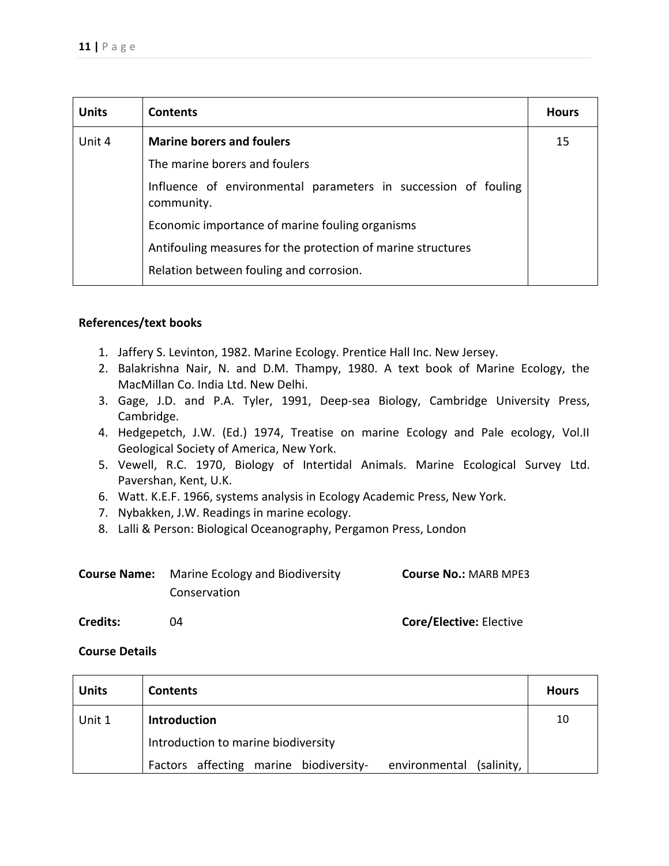| <b>Units</b> | <b>Contents</b>                                                              | <b>Hours</b> |
|--------------|------------------------------------------------------------------------------|--------------|
| Unit 4       | <b>Marine borers and foulers</b>                                             | 15           |
|              | The marine borers and foulers                                                |              |
|              | Influence of environmental parameters in succession of fouling<br>community. |              |
|              | Economic importance of marine fouling organisms                              |              |
|              | Antifouling measures for the protection of marine structures                 |              |
|              | Relation between fouling and corrosion.                                      |              |

- 1. Jaffery S. Levinton, 1982. Marine Ecology. Prentice Hall Inc. New Jersey.
- 2. Balakrishna Nair, N. and D.M. Thampy, 1980. A text book of Marine Ecology, the MacMillan Co. India Ltd. New Delhi.
- 3. Gage, J.D. and P.A. Tyler, 1991, Deep-sea Biology, Cambridge University Press, Cambridge.
- 4. Hedgepetch, J.W. (Ed.) 1974, Treatise on marine Ecology and Pale ecology, Vol.II Geological Society of America, New York.
- 5. Vewell, R.C. 1970, Biology of Intertidal Animals. Marine Ecological Survey Ltd. Pavershan, Kent, U.K.
- 6. Watt. K.E.F. 1966, systems analysis in Ecology Academic Press, New York.
- 7. Nybakken, J.W. Readings in marine ecology.
- 8. Lalli & Person: Biological Oceanography, Pergamon Press, London

| <b>Course Name:</b> | Marine Ecology and Biodiversity | <b>Course No.: MARB MPE3</b> |
|---------------------|---------------------------------|------------------------------|
|                     | Conservation                    |                              |

## **Credits:** 04 **Core/Elective:** Elective

| <b>Units</b> | <b>Contents</b>                                                    | <b>Hours</b> |
|--------------|--------------------------------------------------------------------|--------------|
| Unit 1       | <b>Introduction</b>                                                | 10           |
|              | Introduction to marine biodiversity                                |              |
|              | Factors affecting marine biodiversity-<br>environmental (salinity, |              |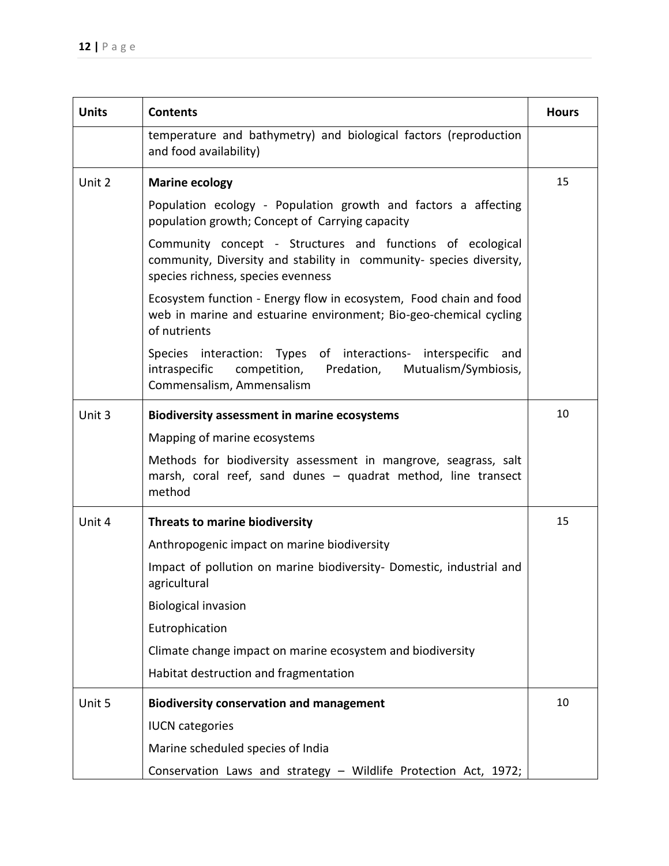| <b>Units</b> | <b>Contents</b>                                                                                                                                                         | <b>Hours</b> |
|--------------|-------------------------------------------------------------------------------------------------------------------------------------------------------------------------|--------------|
|              | temperature and bathymetry) and biological factors (reproduction<br>and food availability)                                                                              |              |
| Unit 2       | <b>Marine ecology</b>                                                                                                                                                   | 15           |
|              | Population ecology - Population growth and factors a affecting<br>population growth; Concept of Carrying capacity                                                       |              |
|              | Community concept - Structures and functions of ecological<br>community, Diversity and stability in community- species diversity,<br>species richness, species evenness |              |
|              | Ecosystem function - Energy flow in ecosystem, Food chain and food<br>web in marine and estuarine environment; Bio-geo-chemical cycling<br>of nutrients                 |              |
|              | Species interaction: Types of interactions- interspecific<br>and<br>Mutualism/Symbiosis,<br>intraspecific<br>competition, Predation,<br>Commensalism, Ammensalism       |              |
| Unit 3       | <b>Biodiversity assessment in marine ecosystems</b>                                                                                                                     | 10           |
|              | Mapping of marine ecosystems                                                                                                                                            |              |
|              | Methods for biodiversity assessment in mangrove, seagrass, salt<br>marsh, coral reef, sand dunes - quadrat method, line transect<br>method                              |              |
| Unit 4       | <b>Threats to marine biodiversity</b>                                                                                                                                   | 15           |
|              | Anthropogenic impact on marine biodiversity                                                                                                                             |              |
|              | Impact of pollution on marine biodiversity- Domestic, industrial and<br>agricultural                                                                                    |              |
|              | <b>Biological invasion</b>                                                                                                                                              |              |
|              | Eutrophication                                                                                                                                                          |              |
|              | Climate change impact on marine ecosystem and biodiversity                                                                                                              |              |
|              | Habitat destruction and fragmentation                                                                                                                                   |              |
| Unit 5       | <b>Biodiversity conservation and management</b>                                                                                                                         | 10           |
|              | <b>IUCN</b> categories                                                                                                                                                  |              |
|              | Marine scheduled species of India                                                                                                                                       |              |
|              | Conservation Laws and strategy - Wildlife Protection Act, 1972;                                                                                                         |              |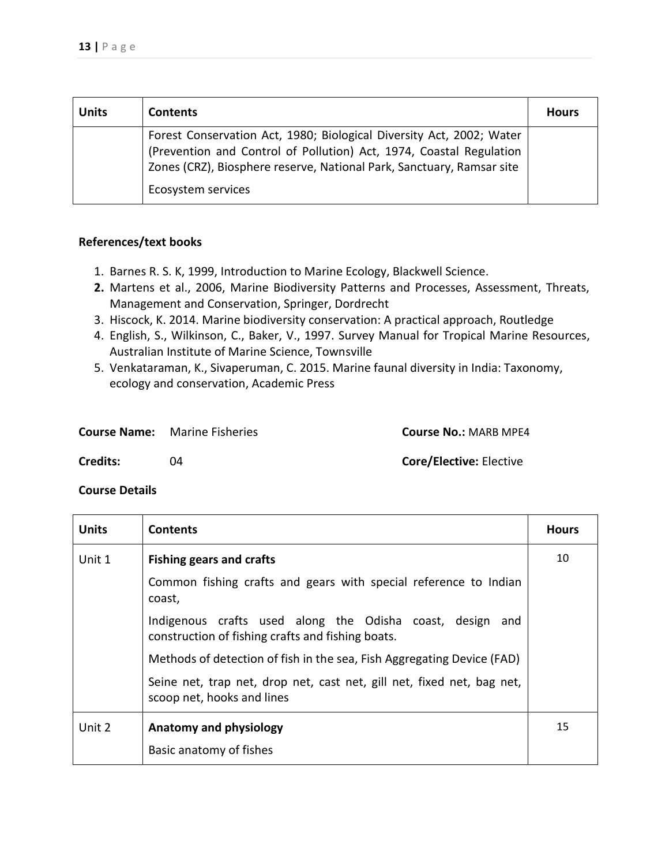| <b>Units</b> | <b>Contents</b>                                                                                                                                                                                                                            | <b>Hours</b> |
|--------------|--------------------------------------------------------------------------------------------------------------------------------------------------------------------------------------------------------------------------------------------|--------------|
|              | Forest Conservation Act, 1980; Biological Diversity Act, 2002; Water<br>(Prevention and Control of Pollution) Act, 1974, Coastal Regulation<br>Zones (CRZ), Biosphere reserve, National Park, Sanctuary, Ramsar site<br>Ecosystem services |              |

- 1. Barnes R. S. K, 1999, Introduction to Marine Ecology, Blackwell Science.
- **2.** Martens et al., 2006, Marine Biodiversity Patterns and Processes, Assessment, Threats, Management and Conservation, Springer, Dordrecht
- 3. Hiscock, K. 2014. Marine biodiversity conservation: A practical approach, Routledge
- 4. English, S., Wilkinson, C., Baker, V., 1997. Survey Manual for Tropical Marine Resources, Australian Institute of Marine Science, Townsville
- 5. Venkataraman, K., Sivaperuman, C. 2015. Marine faunal diversity in India: Taxonomy, ecology and conservation, Academic Press

|                 | <b>Course Name:</b> Marine Fisheries | <b>Course No.: MARB MPE4</b>   |
|-----------------|--------------------------------------|--------------------------------|
| <b>Credits:</b> |                                      | <b>Core/Elective: Elective</b> |

| <b>Units</b> | <b>Contents</b>                                                                                                | <b>Hours</b> |
|--------------|----------------------------------------------------------------------------------------------------------------|--------------|
| Unit 1       | <b>Fishing gears and crafts</b>                                                                                | 10           |
|              | Common fishing crafts and gears with special reference to Indian<br>coast,                                     |              |
|              | Indigenous crafts used along the Odisha coast, design and<br>construction of fishing crafts and fishing boats. |              |
|              | Methods of detection of fish in the sea, Fish Aggregating Device (FAD)                                         |              |
|              | Seine net, trap net, drop net, cast net, gill net, fixed net, bag net,<br>scoop net, hooks and lines           |              |
| Unit 2       | Anatomy and physiology                                                                                         | 15           |
|              | Basic anatomy of fishes                                                                                        |              |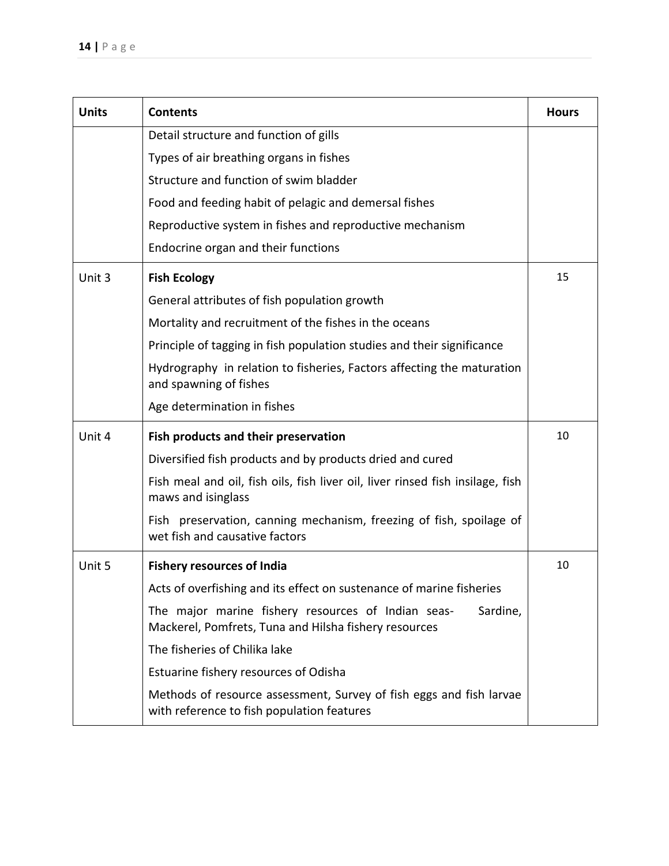| <b>Units</b> | <b>Contents</b>                                                                                                         | <b>Hours</b> |
|--------------|-------------------------------------------------------------------------------------------------------------------------|--------------|
|              | Detail structure and function of gills                                                                                  |              |
|              | Types of air breathing organs in fishes                                                                                 |              |
|              | Structure and function of swim bladder                                                                                  |              |
|              | Food and feeding habit of pelagic and demersal fishes                                                                   |              |
|              | Reproductive system in fishes and reproductive mechanism                                                                |              |
|              | Endocrine organ and their functions                                                                                     |              |
| Unit 3       | <b>Fish Ecology</b>                                                                                                     | 15           |
|              | General attributes of fish population growth                                                                            |              |
|              | Mortality and recruitment of the fishes in the oceans                                                                   |              |
|              | Principle of tagging in fish population studies and their significance                                                  |              |
|              | Hydrography in relation to fisheries, Factors affecting the maturation<br>and spawning of fishes                        |              |
|              | Age determination in fishes                                                                                             |              |
| Unit 4       | Fish products and their preservation                                                                                    | 10           |
|              | Diversified fish products and by products dried and cured                                                               |              |
|              | Fish meal and oil, fish oils, fish liver oil, liver rinsed fish insilage, fish<br>maws and isinglass                    |              |
|              | Fish preservation, canning mechanism, freezing of fish, spoilage of<br>wet fish and causative factors                   |              |
| Unit 5       | <b>Fishery resources of India</b>                                                                                       | 10           |
|              | Acts of overfishing and its effect on sustenance of marine fisheries                                                    |              |
|              | The major marine fishery resources of Indian seas-<br>Sardine,<br>Mackerel, Pomfrets, Tuna and Hilsha fishery resources |              |
|              | The fisheries of Chilika lake                                                                                           |              |
|              | Estuarine fishery resources of Odisha                                                                                   |              |
|              | Methods of resource assessment, Survey of fish eggs and fish larvae<br>with reference to fish population features       |              |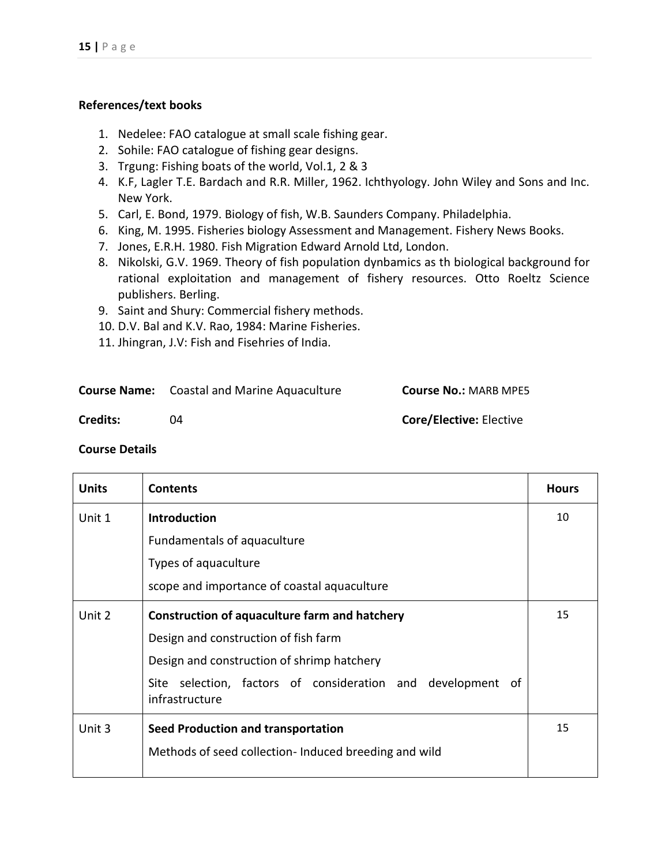- 1. Nedelee: FAO catalogue at small scale fishing gear.
- 2. Sohile: FAO catalogue of fishing gear designs.
- 3. Trgung: Fishing boats of the world, Vol.1, 2 & 3
- 4. K.F, Lagler T.E. Bardach and R.R. Miller, 1962. Ichthyology. John Wiley and Sons and Inc. New York.
- 5. Carl, E. Bond, 1979. Biology of fish, W.B. Saunders Company. Philadelphia.
- 6. King, M. 1995. Fisheries biology Assessment and Management. Fishery News Books.
- 7. Jones, E.R.H. 1980. Fish Migration Edward Arnold Ltd, London.
- 8. Nikolski, G.V. 1969. Theory of fish population dynbamics as th biological background for rational exploitation and management of fishery resources. Otto Roeltz Science publishers. Berling.
- 9. Saint and Shury: Commercial fishery methods.
- 10. D.V. Bal and K.V. Rao, 1984: Marine Fisheries.
- 11. Jhingran, J.V: Fish and Fisehries of India.

|          | <b>Course Name:</b> Coastal and Marine Aquaculture | <b>Course No.: MARB MPE5</b>   |
|----------|----------------------------------------------------|--------------------------------|
| Credits: | ባ4                                                 | <b>Core/Elective: Elective</b> |

| <b>Units</b> | <b>Contents</b>                                                               | <b>Hours</b> |
|--------------|-------------------------------------------------------------------------------|--------------|
| Unit 1       | <b>Introduction</b>                                                           | 10           |
|              | Fundamentals of aquaculture                                                   |              |
|              | Types of aquaculture                                                          |              |
|              | scope and importance of coastal aquaculture                                   |              |
| Unit 2       | <b>Construction of aquaculture farm and hatchery</b>                          | 15           |
|              | Design and construction of fish farm                                          |              |
|              | Design and construction of shrimp hatchery                                    |              |
|              | Site selection, factors of consideration and development of<br>infrastructure |              |
| Unit 3       | Seed Production and transportation                                            | 15           |
|              | Methods of seed collection- Induced breeding and wild                         |              |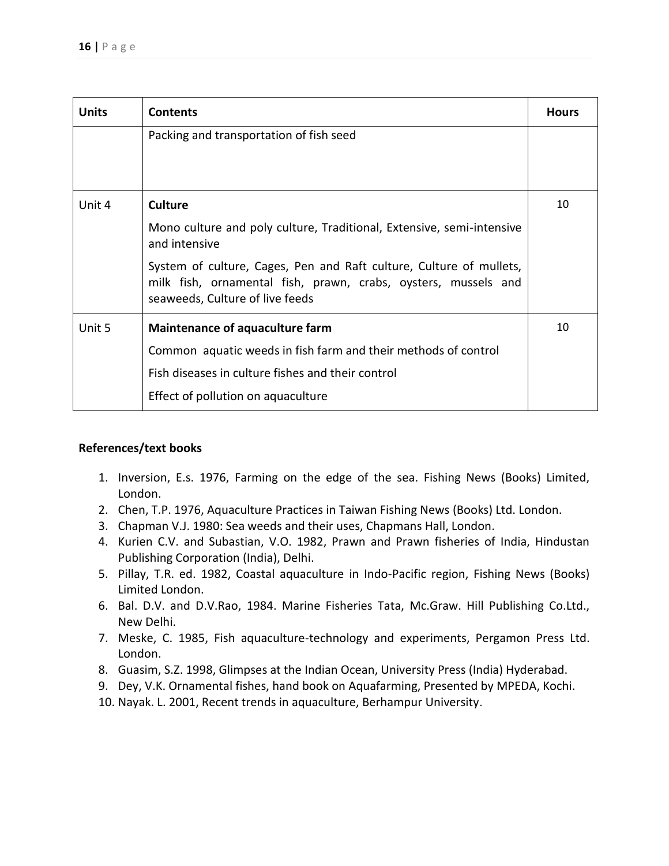| <b>Units</b> | <b>Contents</b>                                                                                                                                                          | <b>Hours</b> |
|--------------|--------------------------------------------------------------------------------------------------------------------------------------------------------------------------|--------------|
|              | Packing and transportation of fish seed                                                                                                                                  |              |
|              |                                                                                                                                                                          |              |
| Unit 4       | <b>Culture</b>                                                                                                                                                           | 10           |
|              | Mono culture and poly culture, Traditional, Extensive, semi-intensive<br>and intensive                                                                                   |              |
|              | System of culture, Cages, Pen and Raft culture, Culture of mullets,<br>milk fish, ornamental fish, prawn, crabs, oysters, mussels and<br>seaweeds, Culture of live feeds |              |
| Unit 5       | Maintenance of aquaculture farm                                                                                                                                          | 10           |
|              | Common aquatic weeds in fish farm and their methods of control                                                                                                           |              |
|              | Fish diseases in culture fishes and their control                                                                                                                        |              |
|              | Effect of pollution on aquaculture                                                                                                                                       |              |

- 1. Inversion, E.s. 1976, Farming on the edge of the sea. Fishing News (Books) Limited, London.
- 2. Chen, T.P. 1976, Aquaculture Practices in Taiwan Fishing News (Books) Ltd. London.
- 3. Chapman V.J. 1980: Sea weeds and their uses, Chapmans Hall, London.
- 4. Kurien C.V. and Subastian, V.O. 1982, Prawn and Prawn fisheries of India, Hindustan Publishing Corporation (India), Delhi.
- 5. Pillay, T.R. ed. 1982, Coastal aquaculture in Indo-Pacific region, Fishing News (Books) Limited London.
- 6. Bal. D.V. and D.V.Rao, 1984. Marine Fisheries Tata, Mc.Graw. Hill Publishing Co.Ltd., New Delhi.
- 7. Meske, C. 1985, Fish aquaculture-technology and experiments, Pergamon Press Ltd. London.
- 8. Guasim, S.Z. 1998, Glimpses at the Indian Ocean, University Press (India) Hyderabad.
- 9. Dey, V.K. Ornamental fishes, hand book on Aquafarming, Presented by MPEDA, Kochi.
- 10. Nayak. L. 2001, Recent trends in aquaculture, Berhampur University.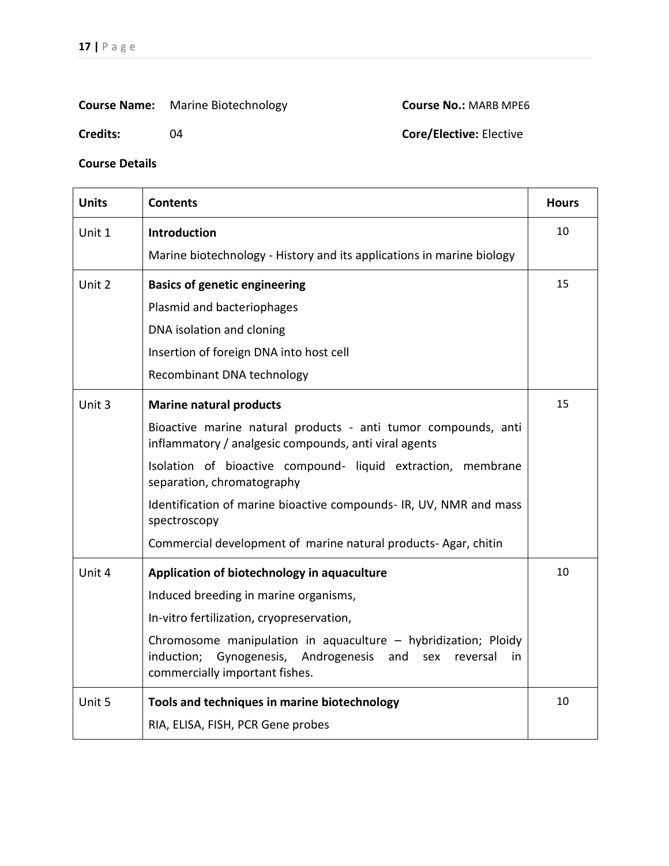# **Course Name:** Marine Biotechnology **Course No.:** MARB MPE6

## **Credits:** 04 04 **Core/Elective:** Elective

| <b>Units</b> | <b>Contents</b>                                                                                                                                                           | <b>Hours</b> |
|--------------|---------------------------------------------------------------------------------------------------------------------------------------------------------------------------|--------------|
| Unit 1       | Introduction                                                                                                                                                              | 10           |
|              | Marine biotechnology - History and its applications in marine biology                                                                                                     |              |
| Unit 2       | <b>Basics of genetic engineering</b>                                                                                                                                      | 15           |
|              | Plasmid and bacteriophages                                                                                                                                                |              |
|              | DNA isolation and cloning                                                                                                                                                 |              |
|              | Insertion of foreign DNA into host cell                                                                                                                                   |              |
|              | Recombinant DNA technology                                                                                                                                                |              |
| Unit 3       | <b>Marine natural products</b>                                                                                                                                            | 15           |
|              | Bioactive marine natural products - anti tumor compounds, anti<br>inflammatory / analgesic compounds, anti viral agents                                                   |              |
|              | Isolation of bioactive compound- liquid extraction, membrane<br>separation, chromatography                                                                                |              |
|              | Identification of marine bioactive compounds- IR, UV, NMR and mass<br>spectroscopy                                                                                        |              |
|              | Commercial development of marine natural products-Agar, chitin                                                                                                            |              |
| Unit 4       | Application of biotechnology in aquaculture                                                                                                                               | 10           |
|              | Induced breeding in marine organisms,                                                                                                                                     |              |
|              | In-vitro fertilization, cryopreservation,                                                                                                                                 |              |
|              | Chromosome manipulation in aquaculture - hybridization; Ploidy<br>induction;<br>Gynogenesis, Androgenesis and<br>sex<br>reversal<br>in.<br>commercially important fishes. |              |
| Unit 5       | Tools and techniques in marine biotechnology                                                                                                                              | 10           |
|              | RIA, ELISA, FISH, PCR Gene probes                                                                                                                                         |              |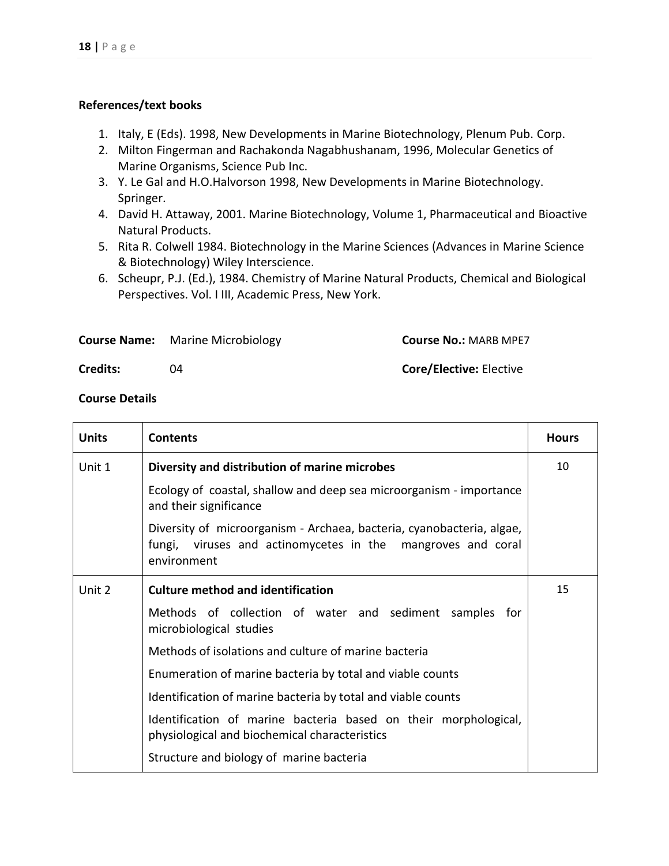- 1. Italy, E (Eds). 1998, New Developments in Marine Biotechnology, Plenum Pub. Corp.
- 2. Milton Fingerman and Rachakonda Nagabhushanam, 1996, Molecular Genetics of Marine Organisms, Science Pub Inc.
- 3. Y. Le Gal and H.O.Halvorson 1998, New Developments in Marine Biotechnology. Springer.
- 4. David H. Attaway, 2001. Marine Biotechnology, Volume 1, Pharmaceutical and Bioactive Natural Products.
- 5. Rita R. Colwell 1984. Biotechnology in the Marine Sciences (Advances in Marine Science & Biotechnology) Wiley Interscience.
- 6. Scheupr, P.J. (Ed.), 1984. Chemistry of Marine Natural Products, Chemical and Biological Perspectives. Vol. I III, Academic Press, New York.

|                 | <b>Course Name:</b> Marine Microbiology | <b>Course No.: MARB MPE7</b>   |
|-----------------|-----------------------------------------|--------------------------------|
| <b>Credits:</b> |                                         | <b>Core/Elective: Elective</b> |

| <b>Units</b> | <b>Contents</b>                                                                                                                                     | <b>Hours</b> |
|--------------|-----------------------------------------------------------------------------------------------------------------------------------------------------|--------------|
| Unit 1       | Diversity and distribution of marine microbes                                                                                                       | 10           |
|              | Ecology of coastal, shallow and deep sea microorganism - importance<br>and their significance                                                       |              |
|              | Diversity of microorganism - Archaea, bacteria, cyanobacteria, algae,<br>fungi, viruses and actinomycetes in the mangroves and coral<br>environment |              |
| Unit 2       | <b>Culture method and identification</b>                                                                                                            | 15           |
|              | Methods of collection of water and sediment samples for<br>microbiological studies                                                                  |              |
|              | Methods of isolations and culture of marine bacteria                                                                                                |              |
|              | Enumeration of marine bacteria by total and viable counts                                                                                           |              |
|              | Identification of marine bacteria by total and viable counts                                                                                        |              |
|              | Identification of marine bacteria based on their morphological,<br>physiological and biochemical characteristics                                    |              |
|              | Structure and biology of marine bacteria                                                                                                            |              |